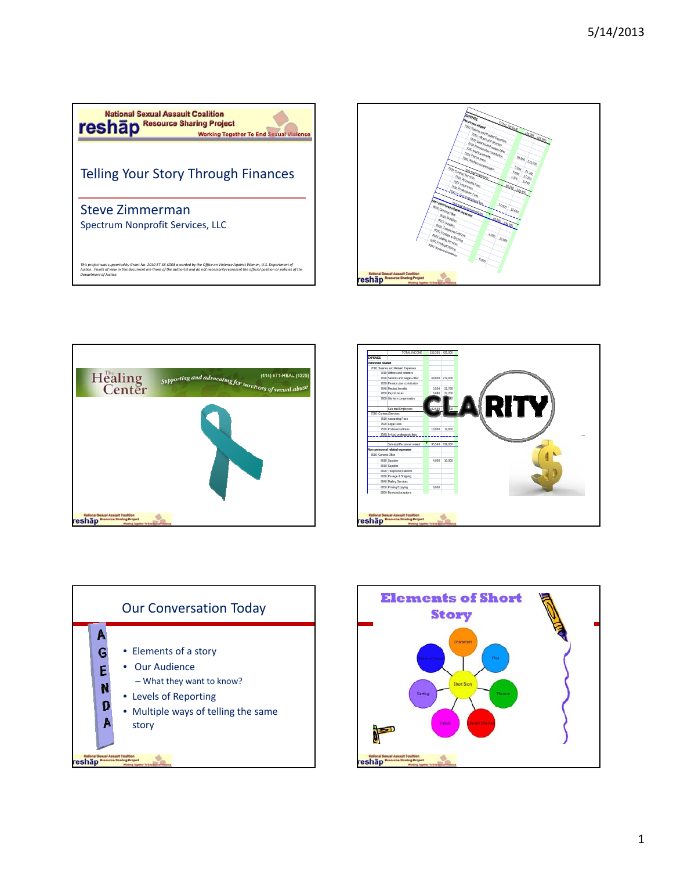









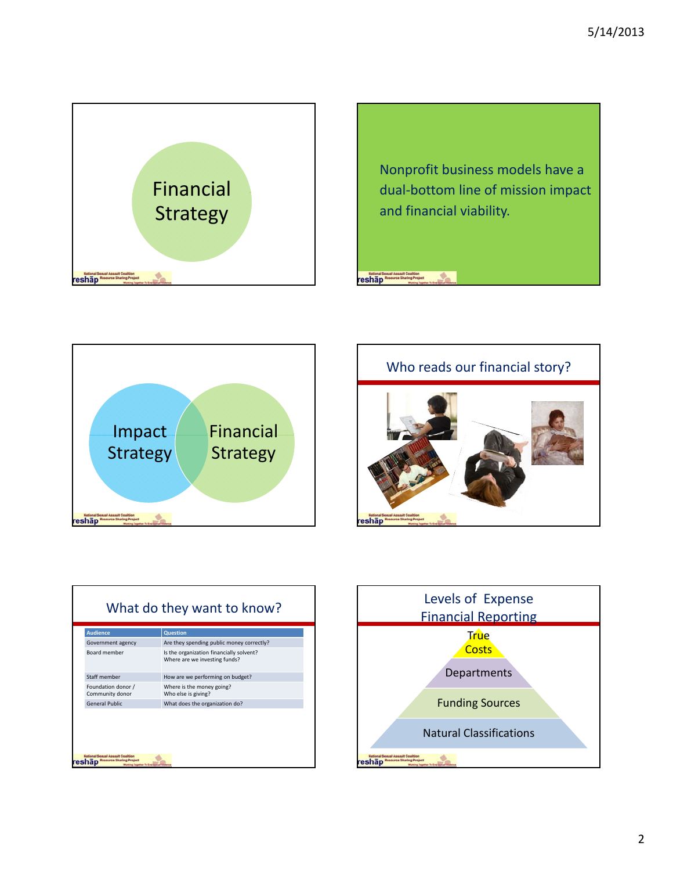



**National Sexual Assoult Coalition**<br>**Teshap** Resource Sharing Project







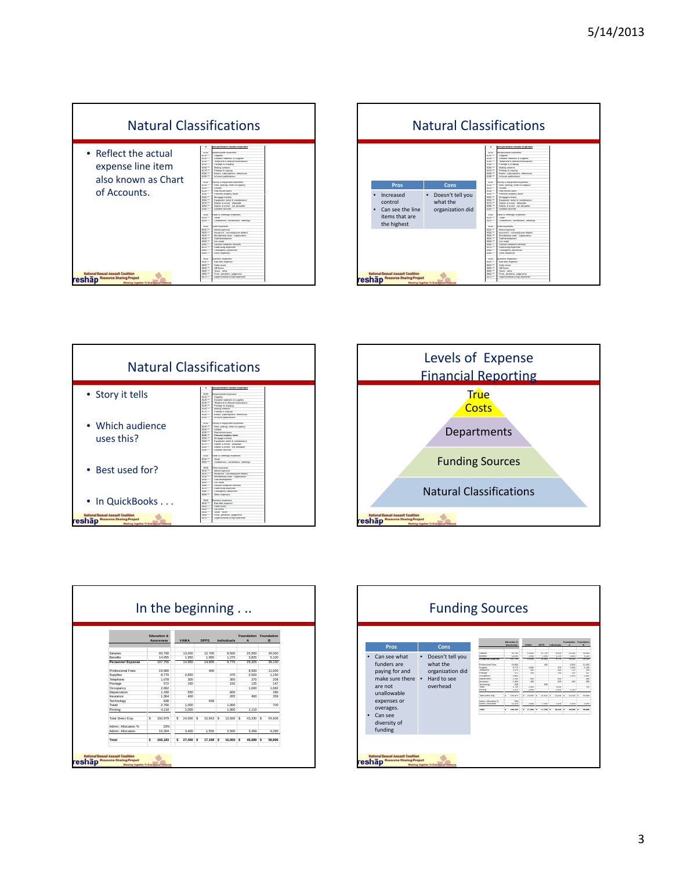









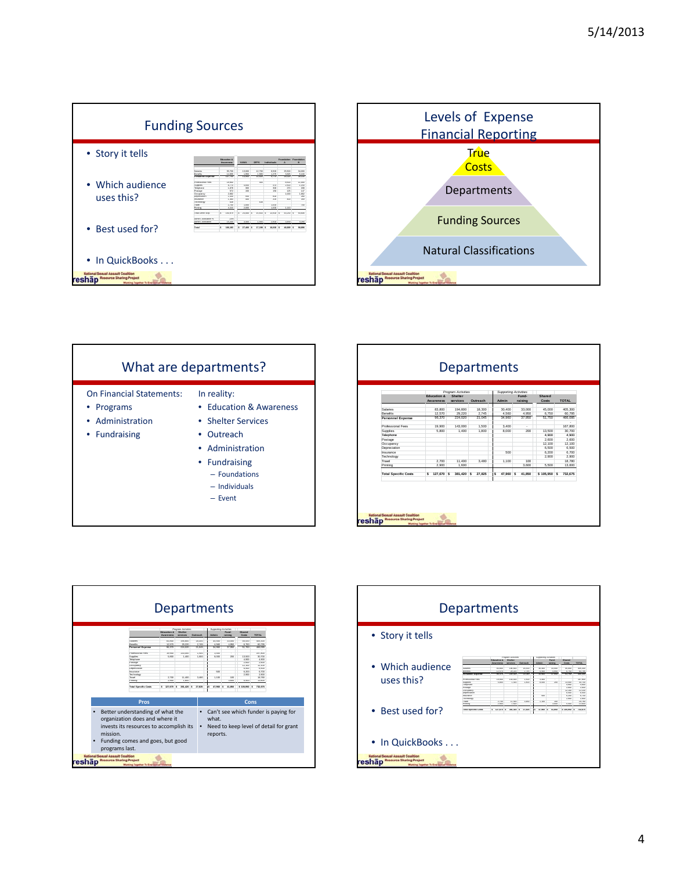





|                             |                        | Program Activities |          |                          | <b>Supporting Activities</b> |              |              |
|-----------------------------|------------------------|--------------------|----------|--------------------------|------------------------------|--------------|--------------|
|                             | <b>Education &amp;</b> | <b>Shelter</b>     |          |                          | Fund-                        | Shared       |              |
|                             | <b>Awareness</b>       | services           | Outreach | Admin                    | raising                      | Costs        | <b>TOTAL</b> |
| Salaries                    | 83,800                 | 194,800            | 18,300   | 30.400                   | 33.000                       | 45.000       | 405.300      |
| Benefits                    | 12,570                 | 29.220             | 2.745    | 4.560                    | 4.950                        | 6.750        | 60.795       |
| Personnel Expense           | 96,370                 | 224.020            | 21.045   | 34.960                   | 37,950                       | 51,750       | 466.095      |
|                             |                        |                    |          |                          |                              |              | ٠            |
| <b>Professional Fees</b>    | 19,900                 | 143,000            | 1.500    | 3.400                    | ×.                           |              | 167,800      |
| Supplies                    | 5.800                  | 1.400              | 1.800    | 8,000                    | 200                          | 13.500       | 30.700       |
| Telephone                   |                        |                    |          |                          |                              | 4.900        | 4.900        |
| Postage                     |                        |                    |          |                          |                              | 2.600        | 2.600        |
| Occupancy                   |                        |                    |          |                          |                              | 12.100       | 12.100       |
| Depreciation                |                        |                    |          |                          |                              | 6.500        | 6.500        |
| Insurance                   |                        |                    |          | 500                      |                              | 6.200        | 6.700        |
| Technology                  |                        |                    |          |                          |                              | 2.900        | 2.900        |
| Travel                      | 2.700                  | 11,400             | 3.480    | 1.100                    | 100                          |              | 18,780       |
| Printing                    | 2.900                  | 1.600              |          |                          | 3.600                        | 5.500        | 13,600       |
| <b>Total Specific Costs</b> | \$127,670 \$           | 381.420 S          | 27.825   | $\mathsf{s}$<br>47,960 S | 41.850                       | \$105,950 \$ | 732.675      |
|                             |                        |                    |          |                          |                              |              |              |



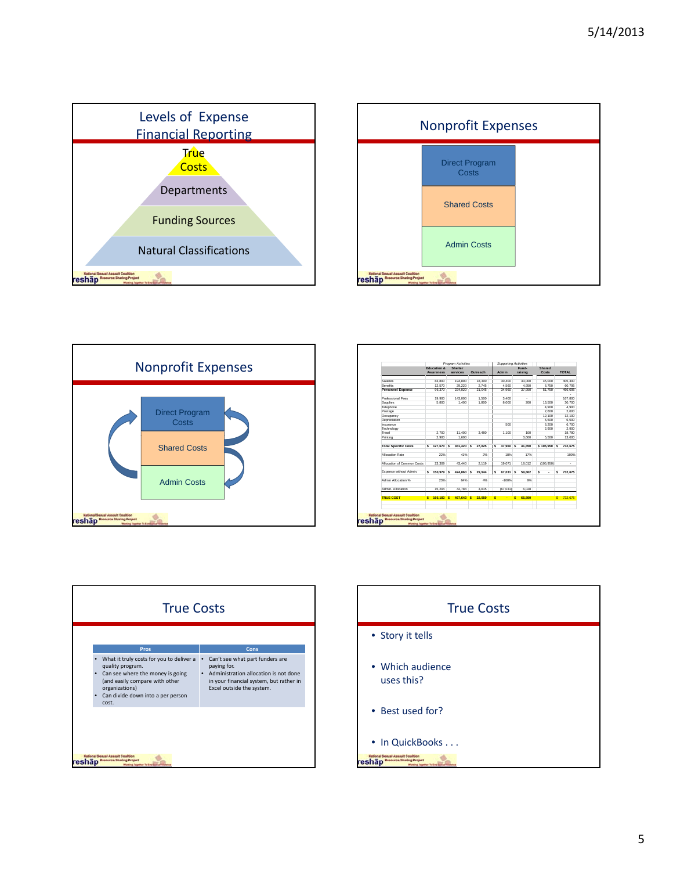





|                             | Program Activities     |                |           |  |          |     | <b>Supporting Activities</b> |    |         |              |    |              |
|-----------------------------|------------------------|----------------|-----------|--|----------|-----|------------------------------|----|---------|--------------|----|--------------|
|                             | <b>Education &amp;</b> | <b>Shelter</b> |           |  |          |     |                              |    | Fund-   | Shared       |    |              |
|                             | <b>Awareness</b>       |                | services  |  | Outreach |     | Admin                        |    | raising | Costs        |    | <b>TOTAL</b> |
| Salaries                    | 83,800                 |                | 194,800   |  | 18,300   |     | 30.400                       |    | 33.000  | 45,000       |    | 405.300      |
| <b>Renefits</b>             | 12.570                 |                | 29.220    |  | 2.745    |     | 4.560                        |    | 4.950   | 6.750        |    | 60.795       |
| Personnel Expense           | 96,370                 |                | 224.020   |  | 21.045   |     | 34.960                       |    | 37.950  | 51,750       |    | 466.095      |
|                             |                        |                |           |  |          |     |                              |    |         |              |    |              |
| <b>Professional Fees</b>    | 19.900                 |                | 143,000   |  | 1.500    |     | 3.400                        |    | ÷.      |              |    | 167.800      |
| Supplies                    | 5.800                  |                | 1.400     |  | 1.800    |     | 8.000                        |    | 200     | 13,500       |    | 30.700       |
| Telephone                   |                        |                |           |  |          |     |                              |    |         | 4.900        |    | 4.900        |
| Postage                     |                        |                |           |  |          |     |                              |    |         | 2.600        |    | 2.600        |
| Occupancy                   |                        |                |           |  |          |     |                              |    |         | 12.100       |    | 12.100       |
| Depreciation                |                        |                |           |  |          |     |                              |    |         | 6.500        |    | 6.500        |
| Insurance                   |                        |                |           |  |          |     | 500                          |    |         | 6.200        |    | 6.700        |
| Technology                  |                        |                |           |  |          |     |                              |    |         | 2.900        |    | 2.900        |
| Travel                      | 2.700                  |                | 11,400    |  | 3.480    |     | 1.100                        |    | 100     |              |    | 18.780       |
| Printing                    | 2.900                  |                | 1.600     |  |          |     |                              |    | 3.600   | 5.500        |    | 13,600       |
| <b>Total Specific Costs</b> | \$127,670 \$           |                | 381.420 S |  | 27.825   | \$. | 47.960 S                     |    | 41.850  | \$105,950 \$ |    | 732.675      |
| <b>Allocation Rate</b>      | 22%                    |                | 41%       |  | 2%       |     | 18%                          |    | 17%     |              |    | 100%         |
| Allocation of Common Costs  | 23.309                 |                | 43.440    |  | 2.119    |     | 19.071                       |    | 18.012  | (105.950)    |    | ÷.           |
| Expense without Admin.      | \$150,979 \$           |                | 424,860 S |  | 29.944   | s   | 67.031 S                     |    | 59.862  | s<br>٠       | s  | 732.675      |
| Admin Allocation %          | 23%                    |                | 64%       |  | 4%       |     | $-100%$                      |    | 9%      |              |    |              |
| Admin. Allocation           | 15.204                 |                | 42.784    |  | 3.015    |     | (67.031)                     |    | 6.028   |              |    |              |
| <b>TRUE COST</b>            | \$ 166.183 S           |                | 467,643 S |  | 32.959   | s   | ٠                            | s. | 65,890  |              | s. | 732.675      |
|                             |                        |                |           |  |          |     |                              |    |         |              |    |              |



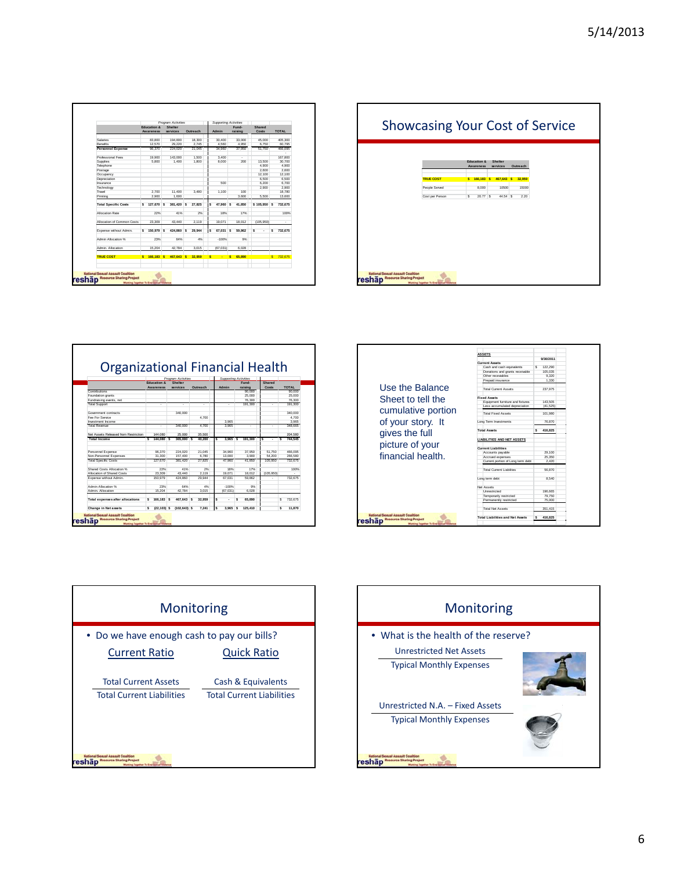| <b>Education &amp;</b><br><b>Awareness</b><br>83.800<br>12,570<br>96.370 | Shelter<br>services<br>194,800                                                              |                           | Outreach                                        |                      | Admin  |                                            | Fund-<br>raising     |                                   | Shared |                                                     |                           |
|--------------------------------------------------------------------------|---------------------------------------------------------------------------------------------|---------------------------|-------------------------------------------------|----------------------|--------|--------------------------------------------|----------------------|-----------------------------------|--------|-----------------------------------------------------|---------------------------|
|                                                                          |                                                                                             |                           |                                                 |                      |        |                                            |                      |                                   |        |                                                     |                           |
|                                                                          |                                                                                             |                           |                                                 |                      |        |                                            |                      |                                   | Costs  |                                                     | <b>TOTAL</b>              |
|                                                                          |                                                                                             |                           | 18.300                                          |                      | 30.400 |                                            | 33,000               |                                   | 45.000 |                                                     | 405.300                   |
|                                                                          | 29.220                                                                                      |                           | 2.745                                           |                      | 4.560  |                                            | 4.950                |                                   | 6.750  |                                                     | 60.795                    |
|                                                                          | 224.020                                                                                     |                           | 21.045                                          |                      | 34.960 |                                            | 37.950               |                                   | 51,750 |                                                     | 466.095                   |
| 19.900                                                                   | 143.000                                                                                     |                           | 1.500                                           |                      | 3.400  |                                            | ×.                   |                                   |        |                                                     | ٠<br>167,800              |
| 5.800                                                                    | 1.400                                                                                       |                           | 1.800                                           |                      | 8.000  |                                            | 200                  |                                   | 13,500 |                                                     | 30.700                    |
|                                                                          |                                                                                             |                           |                                                 |                      |        |                                            |                      |                                   | 4.900  |                                                     | 4.900                     |
|                                                                          |                                                                                             |                           |                                                 |                      |        |                                            |                      |                                   |        |                                                     | 2.600                     |
|                                                                          |                                                                                             |                           |                                                 |                      |        |                                            |                      |                                   |        |                                                     | 12.100                    |
|                                                                          |                                                                                             |                           |                                                 |                      |        |                                            |                      |                                   |        |                                                     | 6.500                     |
|                                                                          |                                                                                             |                           |                                                 |                      |        |                                            |                      |                                   |        |                                                     | 6.700                     |
|                                                                          |                                                                                             |                           |                                                 |                      |        |                                            |                      |                                   |        |                                                     | 2.900                     |
|                                                                          |                                                                                             |                           |                                                 |                      |        |                                            |                      |                                   |        |                                                     | 18,780                    |
|                                                                          |                                                                                             |                           |                                                 |                      |        |                                            |                      |                                   |        |                                                     | 13,600                    |
|                                                                          |                                                                                             |                           |                                                 |                      |        |                                            |                      |                                   |        |                                                     |                           |
| Ś                                                                        |                                                                                             |                           | 27.825                                          | Ś                    |        |                                            | 41.850               |                                   |        |                                                     | 732.675                   |
|                                                                          |                                                                                             |                           |                                                 |                      |        |                                            |                      |                                   |        |                                                     | 100%                      |
|                                                                          |                                                                                             |                           |                                                 |                      |        |                                            |                      |                                   |        |                                                     |                           |
|                                                                          | 43.440                                                                                      |                           | 2.119                                           |                      | 19.071 |                                            | 18.012               |                                   |        |                                                     | ٠                         |
| s                                                                        |                                                                                             | s                         | 29.944                                          | Ś                    |        |                                            | 59.862               | s                                 | ٠      | s                                                   | 732.675                   |
|                                                                          |                                                                                             |                           | 4%                                              |                      |        |                                            | 9%                   |                                   |        |                                                     |                           |
|                                                                          |                                                                                             |                           |                                                 |                      |        |                                            |                      |                                   |        |                                                     |                           |
|                                                                          |                                                                                             |                           |                                                 |                      |        |                                            |                      |                                   |        |                                                     |                           |
|                                                                          |                                                                                             |                           | 32.959                                          | s                    | ٠      |                                            | 65,890               |                                   |        | $\mathbf{s}$                                        | 732.675                   |
|                                                                          | 2.700<br>2.900<br>127,670 S<br>22%<br>23.309<br>150,979 S<br>23%<br>15.204<br>$S$ 166,183 S | 11.400<br>1.600<br>42.784 | 381.420 S<br>41%<br>424,860<br>64%<br>467.643 S | 3.480<br>2%<br>3.015 |        | 500<br>1.100<br>18%<br>$-100%$<br>(67.031) | 47,960 S<br>67.031 S | 100<br>3.600<br>17%<br>6.028<br>s |        | 2.600<br>12.100<br>6.500<br>6.200<br>2.900<br>5.500 | \$105,950 \$<br>(105.950) |

| <b>Showcasing Your Cost of Service</b>   |                                     |                            |          |  |
|------------------------------------------|-------------------------------------|----------------------------|----------|--|
|                                          | <b>Education &amp;</b><br>Awareness | <b>Shelter</b><br>services | Outreach |  |
| <b>TRUE COST</b>                         |                                     | \$ 166,183 \$ 467,643 \$   | 32.959   |  |
| People Served                            | 8.000                               | 10500                      | 15000    |  |
|                                          |                                     |                            |          |  |
| <b>National Segual Assault Coalition</b> |                                     |                            |          |  |

|                                         |                           | Program Activities  |               |          |    |          | Supporting Activities |                 |              |  |  |  |  |
|-----------------------------------------|---------------------------|---------------------|---------------|----------|----|----------|-----------------------|-----------------|--------------|--|--|--|--|
|                                         | <b>Education &amp;</b>    | Shelter<br>services |               |          |    | Admin    | Fund-                 | Shared<br>Costs | <b>TOTAL</b> |  |  |  |  |
| Contributions                           | <b>Awareness</b>          |                     |               | Qutreach |    |          | raising<br>90,000     |                 | 90.000       |  |  |  |  |
| Foundation grants                       |                           |                     |               |          |    |          | 25,000                |                 | 25.000       |  |  |  |  |
| Fundraising events, net                 |                           |                     |               |          |    |          | 76.300                |                 | 76.300       |  |  |  |  |
| <b>Total Support</b>                    | ٠                         |                     | ٠             | ٠        |    | ٠        | 191.300               | ٠               | 191.300      |  |  |  |  |
|                                         |                           |                     |               |          |    |          |                       |                 |              |  |  |  |  |
| Government contracts                    |                           | 340.000             |               |          |    |          |                       |                 | 340,000      |  |  |  |  |
| Fee For Senice                          |                           |                     |               | 4,700    |    |          |                       |                 | 4.700        |  |  |  |  |
| Investment Income                       |                           |                     |               |          |    | 3.985    |                       |                 | 3.985        |  |  |  |  |
| Total Revenue                           | ٠                         | 340,000             |               | 4 700    |    | 3.985    | ÷,                    | ٠               | 348 665      |  |  |  |  |
| Net Assets Released from Restriction    | 144.080                   | 25,000              |               | 35,500   |    |          |                       |                 | 204,580      |  |  |  |  |
| <b>Total Income</b>                     | $\mathbf{S}$<br>144,080 S |                     | 365,000 S     | 40.200   | s. | 3.965    | s<br>191,300          | Š.<br>ä,        | s<br>744.545 |  |  |  |  |
|                                         |                           |                     |               |          |    |          |                       |                 |              |  |  |  |  |
| Personnel Expense                       | 96.370                    | 224.020             |               | 21.045   |    | 34 980   | 37.950                | 51.750          | 466.095      |  |  |  |  |
| Non-Personnel Expenses                  | 31,300                    | 157.400             |               | 6.780    |    | 13,000   | 3.900                 | 54.200          | 266,580      |  |  |  |  |
| <b>Total Specific Costs</b>             | 127,670                   | 381.420             |               | 27.825   |    | 47 980   | 41,850                | 105,950         | 732 675      |  |  |  |  |
| Shared Costs Allocation %               | 22%                       |                     | 41%           | 2%       |    | 18%      | 17%                   |                 | 100%         |  |  |  |  |
| Allocation of Shared Costs              | 23.309                    | 43,440              |               | 2.119    |    | 19.071   | 18.012                | (105.950)       | ÷.           |  |  |  |  |
| Expense without Admin.                  | 150 979                   | 424.860             |               | 29.944   |    | 67.031   | <b>59 862</b>         |                 | 732.675      |  |  |  |  |
| Admin Allocation %                      | 23%                       |                     | 64%           | 4%       |    | $-100%$  | 9%                    |                 |              |  |  |  |  |
| Admin Allocation                        | 15.204                    | 42 784              |               | 3.015    |    | (67.031) | 6.028                 |                 |              |  |  |  |  |
| <b>Total expenses after allocations</b> | s<br>166.183              | s                   | 467.643 S     | 32.959   | s  | ÷        | s.<br>65.890          |                 | 732 675<br>s |  |  |  |  |
| <b>Change in Net assets</b>             | s<br>$(22.103)$ S         |                     | $(102.643)$ S | 7.241    | s  | 3.965 S  | 125.410               |                 | s<br>11,870  |  |  |  |  |





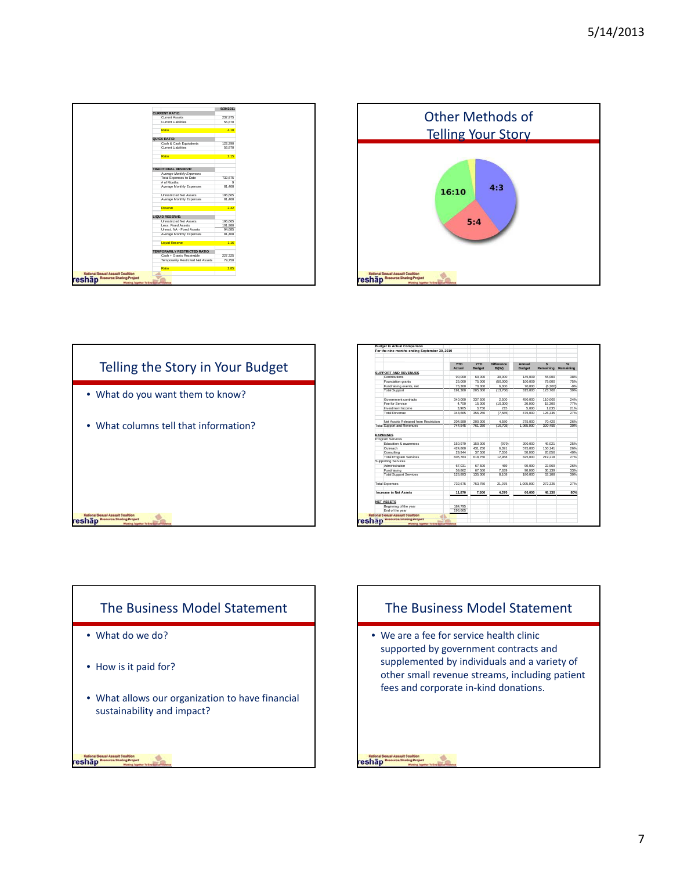





|                                                             |                                      | <b>YTD</b><br>Actual | <b>YTD</b><br><b>Budget</b> | <b>Difference</b><br>B/(W) | Annual<br><b>Budget</b> | $\mathbf{s}$<br>Remaining | 96<br>Remaining |
|-------------------------------------------------------------|--------------------------------------|----------------------|-----------------------------|----------------------------|-------------------------|---------------------------|-----------------|
| <b>SUPPORT AND REVENUES</b>                                 |                                      |                      |                             |                            |                         |                           |                 |
| Contributions                                               |                                      | 90,000               | 60,000                      | 30,000                     | 145,000                 | 55,000                    | 38%             |
| Foundation grants                                           |                                      | 25,000               | 75,000                      | (50.000)                   | 100,000                 | 75,000                    | 75%             |
|                                                             |                                      |                      | 70.000                      | 6.300                      |                         | (6.300)                   |                 |
| Fundraising events, net<br><b>Total Support</b>             |                                      | 76,300<br>191.300    | 205.000                     | (13.700)                   | 70,000<br>315,000       | 123,700                   | $-9%$<br>39%    |
|                                                             |                                      |                      |                             |                            |                         |                           |                 |
| Government contracts                                        |                                      | 340,000              | 337.500                     | 2.500                      | 450,000                 | 110,000                   | 24%             |
| Fee for Service                                             |                                      | 4.700                | 15,000                      | (10, 300)                  | 20.000                  | 15.300                    | 77%             |
| Investment Income                                           |                                      | 3.965                | 3.750                       | 215                        | 5.000                   | 1.035                     | 21%             |
| <b>Total Revenue</b>                                        |                                      | 348.665              | 356.250                     | (7.585)                    | 475.000                 | 126.335                   | 27%             |
|                                                             | Net Assets Released from Restriction | 204.580              | 200.000                     | 4.580                      | 275,000                 | 70.420                    | 26%             |
| <b>Total Support and Revenues</b>                           |                                      | 744.545              | 761,250                     | (16.706)                   | 1.065.000               | 320.455                   | 30%             |
| <b>EXPENSES</b>                                             |                                      |                      |                             |                            |                         |                           |                 |
| Program Services                                            |                                      |                      |                             |                            |                         |                           |                 |
| Education & awareness                                       |                                      | 150.979              | 150,000                     | (979)                      | 200.000                 | 49.021                    | 25%             |
| Outreach                                                    |                                      | 424.860              | 431.250                     | 6.391                      | 575,000                 | 150.141                   | 26%             |
| Consulting                                                  |                                      | 29.944               | 37,500                      | 7.556                      | 50,000                  | 20.056                    | 40%             |
| <b>Total Program Services</b>                               |                                      | 605.783              | 618.750                     | 12.968                     | 825,000                 | 219.218                   | 27%             |
| Supporting Services                                         |                                      |                      |                             |                            |                         |                           |                 |
| Administration                                              |                                      | 67.031               | 67.500                      | 469                        | 90,000                  | 22.969                    | 26%             |
| Fundraising                                                 |                                      | 59.862               | 67,500                      | 7.639                      | 90,000                  | 30.139                    | 33%             |
| <b>Total Support Services</b>                               |                                      | 126,893              | 135,000                     | 8.106                      | 180,000                 | 53.108                    | 30%             |
| <b>Total Expenses</b>                                       |                                      | 732.675              | 753.750                     | 21.075                     | 1,005,000               | 272.325                   | 27%             |
| <b>Increase in Net Assets</b>                               |                                      | 11.870               | 7,500                       | 4.370                      | 60.000                  | 48.130                    | 80%             |
|                                                             |                                      |                      |                             |                            |                         |                           |                 |
| <b>NET ASSETS</b>                                           |                                      |                      |                             |                            |                         |                           |                 |
| Beginning of the year                                       |                                      | 184,795              |                             |                            |                         |                           |                 |
| End of the year<br><b>National Sexual Assoult Coalition</b> |                                      | 196.665              |                             |                            |                         |                           |                 |





• We are a fee for service health clinic supported by government contracts and supplemented by individuals and a variety of other small revenue streams, including patient fees and corporate in‐kind donations.

National Sexual Assount Coalition<br>Teshap Resource Sharing Project